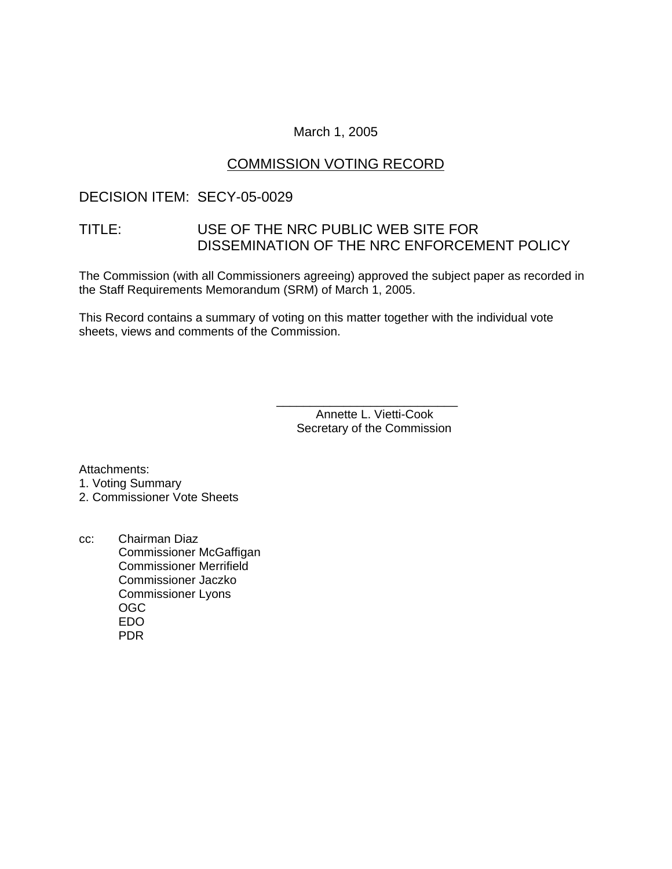### March 1, 2005

## COMMISSION VOTING RECORD

## DECISION ITEM: SECY-05-0029

## TITLE: USE OF THE NRC PUBLIC WEB SITE FOR DISSEMINATION OF THE NRC ENFORCEMENT POLICY

The Commission (with all Commissioners agreeing) approved the subject paper as recorded in the Staff Requirements Memorandum (SRM) of March 1, 2005.

This Record contains a summary of voting on this matter together with the individual vote sheets, views and comments of the Commission.

> \_\_\_\_\_\_\_\_\_\_\_\_\_\_\_\_\_\_\_\_\_\_\_\_\_\_\_ Annette L. Vietti-Cook Secretary of the Commission

Attachments:

- 1. Voting Summary
- 2. Commissioner Vote Sheets
- cc: Chairman Diaz Commissioner McGaffigan Commissioner Merrifield Commissioner Jaczko Commissioner Lyons OGC EDO PDR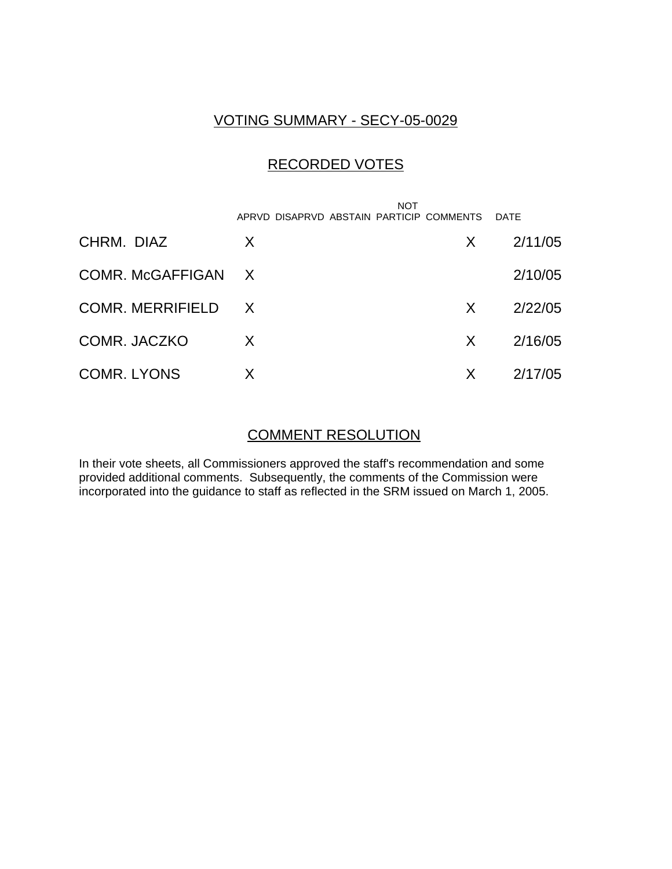# VOTING SUMMARY - SECY-05-0029

# RECORDED VOTES

|                    | NOT<br>APRVD DISAPRVD ABSTAIN PARTICIP COMMENTS |              | DATE    |
|--------------------|-------------------------------------------------|--------------|---------|
| CHRM. DIAZ         | X                                               | X.           | 2/11/05 |
| COMR. McGAFFIGAN X |                                                 |              | 2/10/05 |
| COMR. MERRIFIELD X |                                                 | $\mathsf{X}$ | 2/22/05 |
| COMR. JACZKO       | X                                               | $\mathsf{X}$ | 2/16/05 |
| <b>COMR. LYONS</b> | X                                               | X            | 2/17/05 |

### COMMENT RESOLUTION

In their vote sheets, all Commissioners approved the staff's recommendation and some provided additional comments. Subsequently, the comments of the Commission were incorporated into the guidance to staff as reflected in the SRM issued on March 1, 2005.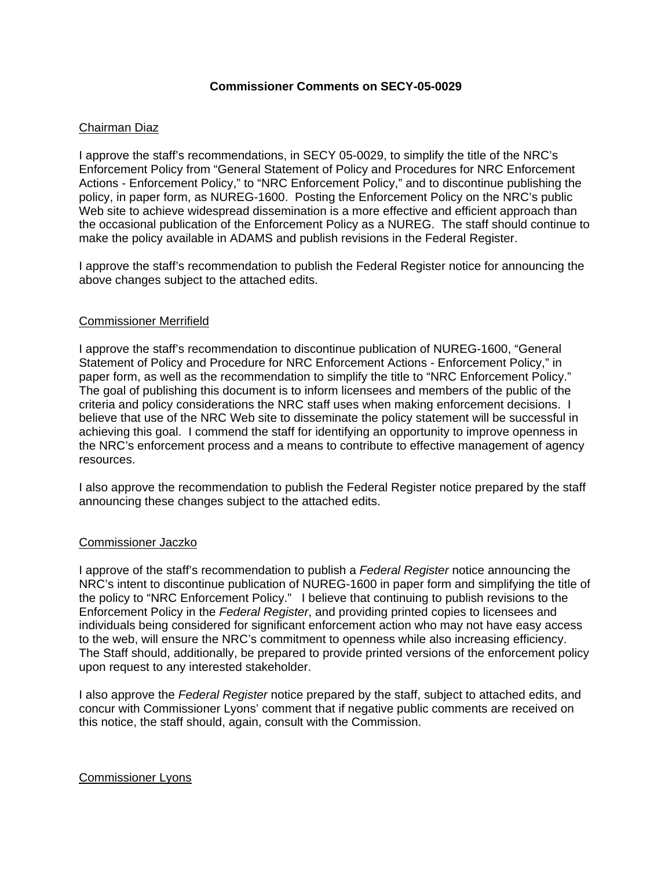#### **Commissioner Comments on SECY-05-0029**

#### Chairman Diaz

I approve the staff's recommendations, in SECY 05-0029, to simplify the title of the NRC's Enforcement Policy from "General Statement of Policy and Procedures for NRC Enforcement Actions - Enforcement Policy," to "NRC Enforcement Policy," and to discontinue publishing the policy, in paper form, as NUREG-1600. Posting the Enforcement Policy on the NRC's public Web site to achieve widespread dissemination is a more effective and efficient approach than the occasional publication of the Enforcement Policy as a NUREG. The staff should continue to make the policy available in ADAMS and publish revisions in the Federal Register.

I approve the staff's recommendation to publish the Federal Register notice for announcing the above changes subject to the attached edits.

#### Commissioner Merrifield

I approve the staff's recommendation to discontinue publication of NUREG-1600, "General Statement of Policy and Procedure for NRC Enforcement Actions - Enforcement Policy," in paper form, as well as the recommendation to simplify the title to "NRC Enforcement Policy." The goal of publishing this document is to inform licensees and members of the public of the criteria and policy considerations the NRC staff uses when making enforcement decisions. I believe that use of the NRC Web site to disseminate the policy statement will be successful in achieving this goal. I commend the staff for identifying an opportunity to improve openness in the NRC's enforcement process and a means to contribute to effective management of agency resources.

I also approve the recommendation to publish the Federal Register notice prepared by the staff announcing these changes subject to the attached edits.

#### Commissioner Jaczko

I approve of the staff's recommendation to publish a *Federal Register* notice announcing the NRC's intent to discontinue publication of NUREG-1600 in paper form and simplifying the title of the policy to "NRC Enforcement Policy." I believe that continuing to publish revisions to the Enforcement Policy in the *Federal Register*, and providing printed copies to licensees and individuals being considered for significant enforcement action who may not have easy access to the web, will ensure the NRC's commitment to openness while also increasing efficiency. The Staff should, additionally, be prepared to provide printed versions of the enforcement policy upon request to any interested stakeholder.

I also approve the *Federal Register* notice prepared by the staff, subject to attached edits, and concur with Commissioner Lyons' comment that if negative public comments are received on this notice, the staff should, again, consult with the Commission.

#### Commissioner Lyons